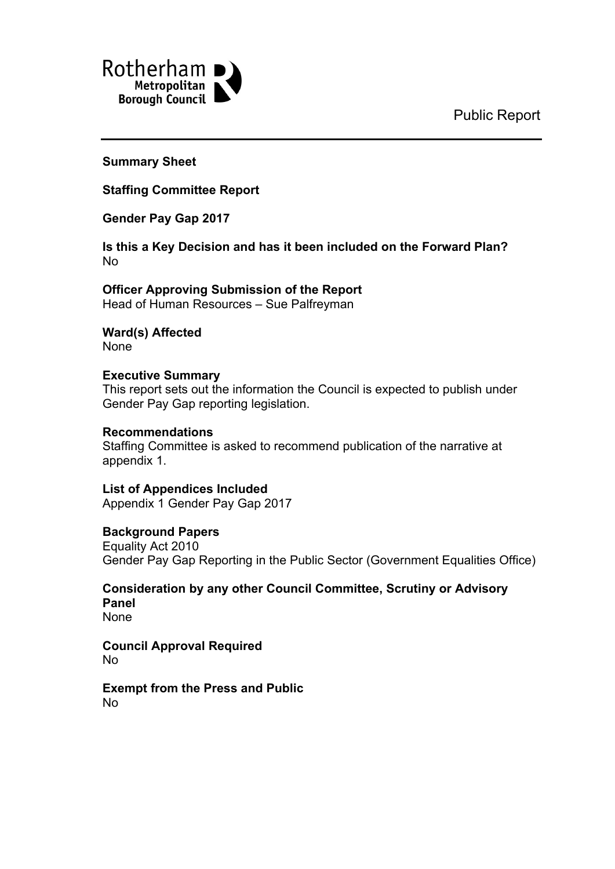Public Report



**Summary Sheet**

**Staffing Committee Report**

**Gender Pay Gap 2017**

**Is this a Key Decision and has it been included on the Forward Plan?** No

**Officer Approving Submission of the Report** Head of Human Resources – Sue Palfreyman

**Ward(s) Affected** None

**Executive Summary** This report sets out the information the Council is expected to publish under Gender Pay Gap reporting legislation.

#### **Recommendations** Staffing Committee is asked to recommend publication of the narrative at appendix 1.

**List of Appendices Included** Appendix 1 Gender Pay Gap 2017

### **Background Papers**

Equality Act 2010 Gender Pay Gap Reporting in the Public Sector (Government Equalities Office)

**Consideration by any other Council Committee, Scrutiny or Advisory Panel** None

**Council Approval Required** No

**Exempt from the Press and Public** No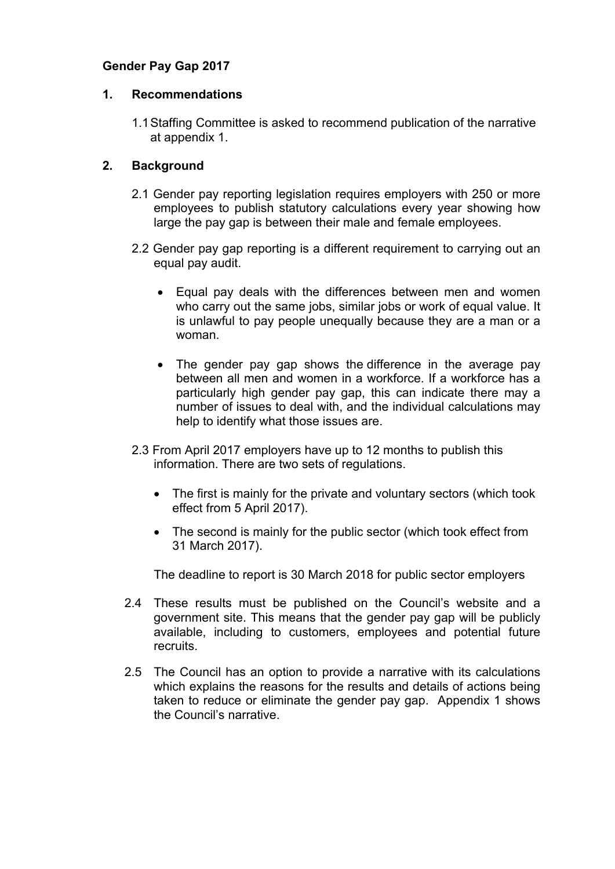# **Gender Pay Gap 2017**

#### **1. Recommendations**

1.1Staffing Committee is asked to recommend publication of the narrative at appendix 1.

# **2. Background**

- 2.1 Gender pay reporting legislation requires employers with 250 or more employees to publish statutory calculations every year showing how large the pay gap is between their male and female employees.
- 2.2 Gender pay gap reporting is a different requirement to carrying out an equal pay audit.
	- Equal pay deals with the differences between men and women who carry out the same jobs, similar jobs or work of equal value. It is unlawful to pay people unequally because they are a man or a woman.
	- The gender pay gap shows the difference in the average pay between all men and women in a workforce. If a workforce has a particularly high gender pay gap, this can indicate there may a number of issues to deal with, and the individual calculations may help to identify what those issues are.
- 2.3 From April 2017 employers have up to 12 months to publish this information. There are two sets of regulations.
	- The first is mainly for the private and voluntary sectors (which took effect from 5 April 2017).
	- The second is mainly for the public sector (which took effect from 31 March 2017).

The deadline to report is 30 March 2018 for public sector employers

- 2.4 These results must be published on the Council's website and a government site. This means that the gender pay gap will be publicly available, including to customers, employees and potential future recruits.
- 2.5 The Council has an option to provide a narrative with its calculations which explains the reasons for the results and details of actions being taken to reduce or eliminate the gender pay gap. Appendix 1 shows the Council's narrative.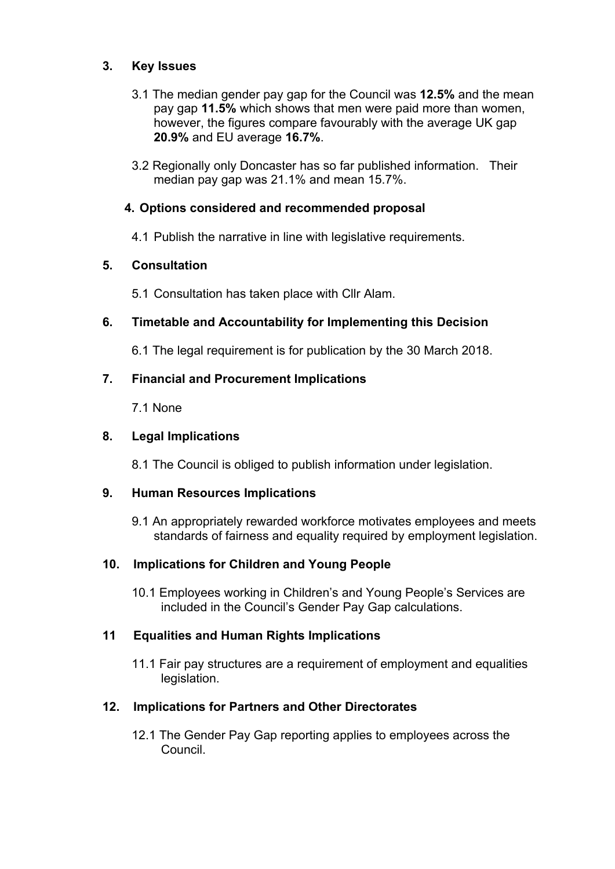# **3. Key Issues**

- 3.1 The median gender pay gap for the Council was **12.5%** and the mean pay gap **11.5%** which shows that men were paid more than women, however, the figures compare favourably with the average UK gap **20.9%** and EU average **16.7%**.
- 3.2 Regionally only Doncaster has so far published information. Their median pay gap was 21.1% and mean 15.7%.

# **4. Options considered and recommended proposal**

4.1 Publish the narrative in line with legislative requirements.

# **5. Consultation**

5.1 Consultation has taken place with Cllr Alam.

# **6. Timetable and Accountability for Implementing this Decision**

6.1 The legal requirement is for publication by the 30 March 2018.

### **7. Financial and Procurement Implications**

7.1 None

#### **8. Legal Implications**

8.1 The Council is obliged to publish information under legislation.

### **9. Human Resources Implications**

9.1 An appropriately rewarded workforce motivates employees and meets standards of fairness and equality required by employment legislation.

### **10. Implications for Children and Young People**

10.1 Employees working in Children's and Young People's Services are included in the Council's Gender Pay Gap calculations.

### **11 Equalities and Human Rights Implications**

11.1 Fair pay structures are a requirement of employment and equalities legislation.

### **12. Implications for Partners and Other Directorates**

12.1 The Gender Pay Gap reporting applies to employees across the Council.